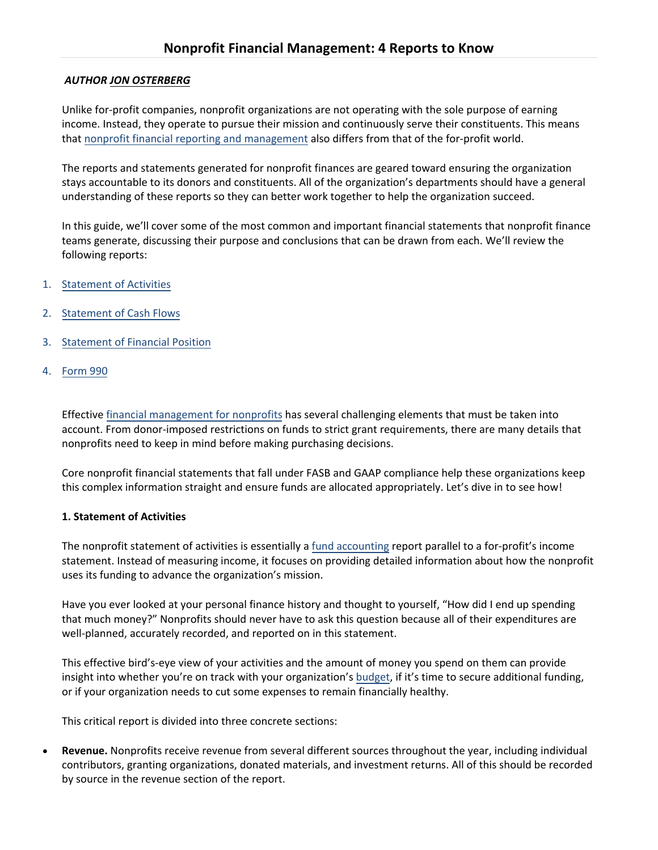## *AUTHOR JON OSTERBERG*

Unlike for‐profit companies, nonprofit organizations are not operating with the sole purpose of earning income. Instead, they operate to pursue their mission and continuously serve their constituents. This means that nonprofit financial reporting and management also differs from that of the for‐profit world.

The reports and statements generated for nonprofit finances are geared toward ensuring the organization stays accountable to its donors and constituents. All of the organization's departments should have a general understanding of these reports so they can better work together to help the organization succeed.

In this guide, we'll cover some of the most common and important financial statements that nonprofit finance teams generate, discussing their purpose and conclusions that can be drawn from each. We'll review the following reports:

- 1. [Statement](https://resources.foundant.com/blog/nonprofit-financial-management-4-reports-to-know#Activities) of Activities
- 2. [Statement](https://resources.foundant.com/blog/nonprofit-financial-management-4-reports-to-know#CashFlows) of Cash Flows
- 3. [Statement](https://resources.foundant.com/blog/nonprofit-financial-management-4-reports-to-know#FinancialPosition) of Financial Position
- 4. [Form](https://resources.foundant.com/blog/nonprofit-financial-management-4-reports-to-know#Form990) 990

Effective financial [management](https://www.jitasagroup.com/jitasa_nonprofit_blog/nonprofit-financial-management/) for nonprofits has several challenging elements that must be taken into account. From donor‐imposed restrictions on funds to strict grant requirements, there are many details that nonprofits need to keep in mind before making purchasing decisions.

Core nonprofit financial statements that fall under FASB and GAAP compliance help these organizations keep this complex information straight and ensure funds are allocated appropriately. Let's dive in to see how!

### **1. Statement of Activities**

The nonprofit statement of activities is essentially a fund [accounting](https://resources.foundant.com/blog/fund-accounting-unique-needs-require-unique-solutions) report parallel to a for-profit's income statement. Instead of measuring income, it focuses on providing detailed information about how the nonprofit uses its funding to advance the organization's mission.

Have you ever looked at your personal finance history and thought to yourself, "How did I end up spending that much money?" Nonprofits should never have to ask this question because all of their expenditures are well-planned, accurately recorded, and reported on in this statement.

This effective bird's‐eye view of your activities and the amount of money you spend on them can provide insight into whether you're on track with your organization's [budget,](https://gettingattention.org/nonprofit-budget/) if it's time to secure additional funding, or if your organization needs to cut some expenses to remain financially healthy.

This critical report is divided into three concrete sections:

 **Revenue.** Nonprofits receive revenue from several different sources throughout the year, including individual contributors, granting organizations, donated materials, and investment returns. All of this should be recorded by source in the revenue section of the report.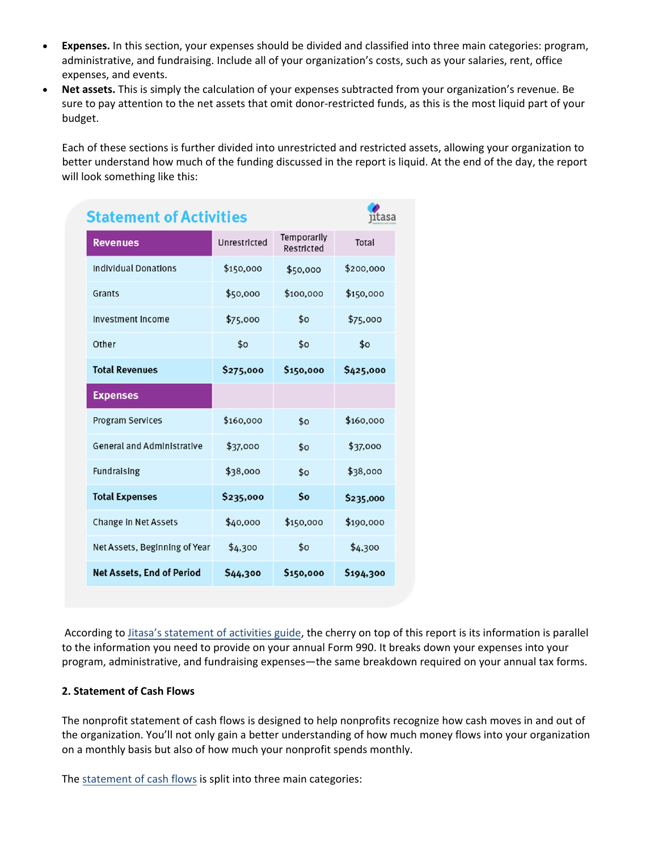- **Expenses.** In this section, your expenses should be divided and classified into three main categories: program, administrative, and fundraising. Include all of your organization's costs, such as your salaries, rent, office expenses, and events.
- **Net assets.** This is simply the calculation of your expenses subtracted from your organization's revenue. Be sure to pay attention to the net assets that omit donor-restricted funds, as this is the most liquid part of your budget.

Each of these sections is further divided into unrestricted and restricted assets, allowing your organization to better understand how much of the funding discussed in the report is liquid. At the end of the day, the report will look something like this:

| <b>Statement of Activities</b>    | ıtasa        |                           |           |
|-----------------------------------|--------------|---------------------------|-----------|
| <b>Revenues</b>                   | Unrestricted | Temporarily<br>Restricted | Total     |
| <b>Individual Donations</b>       | \$150,000    | \$50,000                  | \$200,000 |
| Grants                            | \$50,000     | \$100,000                 | \$150,000 |
| Investment Income                 | \$75,000     | \$0                       | \$75,000  |
| Other                             | \$0          | \$0                       | \$0       |
| <b>Total Revenues</b>             | \$275,000    | \$150,000                 | \$425,000 |
| <b>Expenses</b>                   |              |                           |           |
| <b>Program Services</b>           | \$160,000    | \$0                       | \$160,000 |
| <b>General and Administrative</b> | \$37,000     | \$0                       | \$37,000  |
| <b>Fundraising</b>                | \$38,000     | \$0                       | \$38,000  |
| <b>Total Expenses</b>             | \$235,000    | \$o                       | \$235,000 |
| Change In Net Assets              | \$40,000     | \$150,000                 | \$190,000 |
| Net Assets, Beginning of Year     | \$4,300      | \$0                       | \$4,300   |
| <b>Net Assets, End of Period</b>  | \$44,300     | \$150,000                 | \$194,300 |

According to Jitasa's [statement](https://www.jitasagroup.com/jitasa_nonprofit_blog/nonprofit-statement-of-activities/) of activities guide, the cherry on top of this report is its information is parallel to the information you need to provide on your annual Form 990. It breaks down your expenses into your program, administrative, and fundraising expenses—the same breakdown required on your annual tax forms.

# **2. Statement of Cash Flows**

The nonprofit statement of cash flows is designed to help nonprofits recognize how cash moves in and out of the organization. You'll not only gain a better understanding of how much money flows into your organization on a monthly basis but also of how much your nonprofit spends monthly.

The [statement](https://www.jitasagroup.com/jitasa_nonprofit_blog/nonprofit-statement-of-cash-flows/) of cash flows is split into three main categories: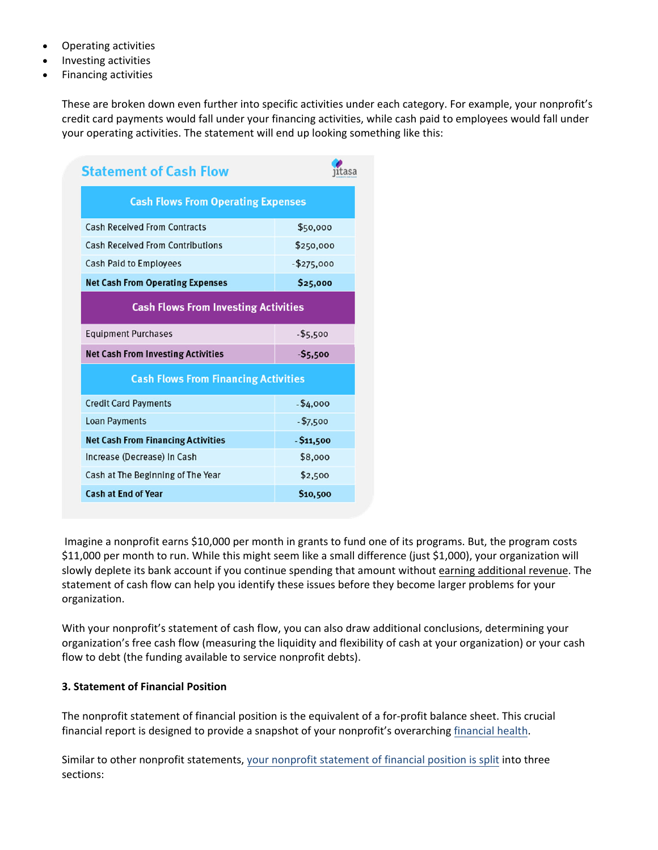- Operating activities
- Investing activities
- Financing activities

These are broken down even further into specific activities under each category. For example, your nonprofit's credit card payments would fall under your financing activities, while cash paid to employees would fall under your operating activities. The statement will end up looking something like this:

| <b>Statement of Cash Flow</b>               |             |  |  |  |
|---------------------------------------------|-------------|--|--|--|
| <b>Cash Flows From Operating Expenses</b>   |             |  |  |  |
| <b>Cash Received From Contracts</b>         | \$50,000    |  |  |  |
| <b>Cash Received From Contributions</b>     | \$250,000   |  |  |  |
| <b>Cash Paid to Employees</b>               | $-$275,000$ |  |  |  |
| <b>Net Cash From Operating Expenses</b>     | \$25,000    |  |  |  |
| <b>Cash Flows From Investing Activities</b> |             |  |  |  |
| <b>Equipment Purchases</b>                  | $-$5,500$   |  |  |  |
| <b>Net Cash From Investing Activities</b>   | $-55,500$   |  |  |  |
| <b>Cash Flows From Financing Activities</b> |             |  |  |  |
| <b>Credit Card Payments</b>                 | $- $4,000$  |  |  |  |
| <b>Loan Payments</b>                        | $- $7,500$  |  |  |  |
| <b>Net Cash From Financing Activities</b>   | $-511,500$  |  |  |  |
| Increase (Decrease) In Cash                 | \$8,000     |  |  |  |
| Cash at The Beginning of The Year           | \$2,500     |  |  |  |
| <b>Cash at End of Year</b>                  | \$10,500    |  |  |  |

Imagine a nonprofit earns \$10,000 per month in grants to fund one of its programs. But, the program costs \$11,000 per month to run. While this might seem like a small difference (just \$1,000), your organization will slowly deplete its bank account if you continue spending that amount without earning [additional](https://resources.foundant.com/blog/4-tips-for-creating-more-effective-fundraising-appeals) revenue. The statement of cash flow can help you identify these issues before they become larger problems for your organization.

With your nonprofit's statement of cash flow, you can also draw additional conclusions, determining your organization's free cash flow (measuring the liquidity and flexibility of cash at your organization) or your cash flow to debt (the funding available to service nonprofit debts).

### **3. Statement of Financial Position**

The nonprofit statement of financial position is the equivalent of a for‐profit balance sheet. This crucial financial report is designed to provide a snapshot of your nonprofit's overarching [financial](https://resources.foundant.com/blog/nonprofit-expansion-6-signs-you-re-financially-ready) health.

Similar to other nonprofit statements, your nonprofit [statement](https://www.jitasagroup.com/jitasa_nonprofit_blog/nonprofit-statement-of-financial-position/) of financial position is split into three sections: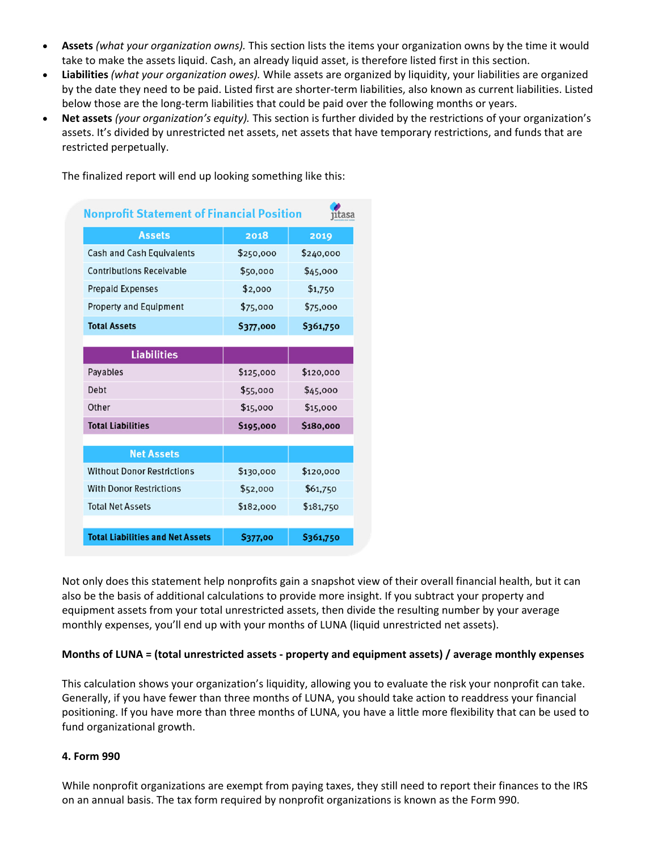- **Assets** *(what your organization owns).* This section lists the items your organization owns by the time it would take to make the assets liquid. Cash, an already liquid asset, is therefore listed first in this section.
- **Liabilities** *(what your organization owes).* While assets are organized by liquidity, your liabilities are organized by the date they need to be paid. Listed first are shorter‐term liabilities, also known as current liabilities. Listed below those are the long-term liabilities that could be paid over the following months or years.
- **Net assets** *(your organization's equity).* This section is further divided by the restrictions of your organization's assets. It's divided by unrestricted net assets, net assets that have temporary restrictions, and funds that are restricted perpetually.

The finalized report will end up looking something like this:

| <b>Nonprofit Statement of Financial Position</b><br>utasa |                |           |  |  |
|-----------------------------------------------------------|----------------|-----------|--|--|
| <b>Assets</b>                                             | 2018           | 2019      |  |  |
| Cash and Cash Equivalents                                 | \$250,000      | \$240,000 |  |  |
| <b>Contributions Receivable</b>                           | \$50,000       | \$45,000  |  |  |
| <b>Prepaid Expenses</b>                                   | \$2,000        | \$1,750   |  |  |
| <b>Property and Equipment</b>                             | \$75,000       | \$75,000  |  |  |
| <b>Total Assets</b>                                       | \$377,000      | \$361,750 |  |  |
|                                                           |                |           |  |  |
| <b>Liabilities</b>                                        |                |           |  |  |
| Payables                                                  | \$125,000      | \$120,000 |  |  |
| Debt                                                      | \$55,000       | \$45,000  |  |  |
| Other                                                     | \$15,000       | \$15,000  |  |  |
| <b>Total Liabilities</b>                                  | \$195,000      | \$180,000 |  |  |
|                                                           |                |           |  |  |
| <b>Net Assets</b>                                         |                |           |  |  |
| <b>Without Donor Restrictions</b>                         | \$130,000      | \$120,000 |  |  |
| <b>With Donor Restrictions</b>                            | \$52,000       | \$61,750  |  |  |
| <b>Total Net Assets</b>                                   | \$182,000      | \$181,750 |  |  |
|                                                           |                |           |  |  |
| <b>Total Liabilities and Net Assets</b>                   | <b>S377.00</b> | \$361,750 |  |  |

Not only does this statement help nonprofits gain a snapshot view of their overall financial health, but it can also be the basis of additional calculations to provide more insight. If you subtract your property and equipment assets from your total unrestricted assets, then divide the resulting number by your average monthly expenses, you'll end up with your months of LUNA (liquid unrestricted net assets).

### **Months of LUNA = (total unrestricted assets ‐ property and equipment assets) / average monthly expenses**

This calculation shows your organization's liquidity, allowing you to evaluate the risk your nonprofit can take. Generally, if you have fewer than three months of LUNA, you should take action to readdress your financial positioning. If you have more than three months of LUNA, you have a little more flexibility that can be used to fund organizational growth.

#### **4. Form 990**

While nonprofit organizations are exempt from paying taxes, they still need to report their finances to the IRS on an annual basis. The tax form required by nonprofit organizations is known as the Form 990.